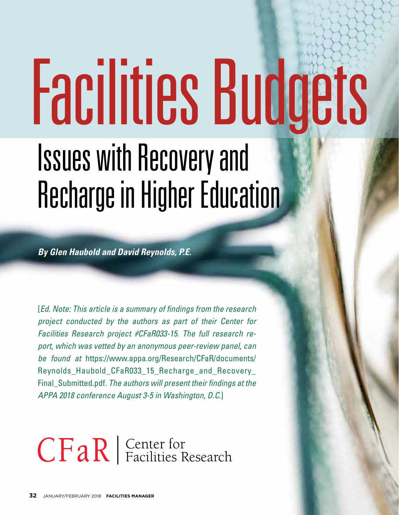# Facilities Budgets Issues with Recovery and Recharge in Higher Education

*By Glen Haubold and David Reynolds, P.E.*

[*Ed. Note: This article is a summary of findings from the research project conducted by the authors as part of their Center for Facilities Research project #CFaR033-15. The full research report, which was vetted by an anonymous peer-review panel, can be found at* https://www.appa.org/Research/CFaR/documents/ Reynolds\_Haubold\_CFaR033\_15\_Recharge\_and\_Recovery\_ Final\_Submitted.pdf. *The authors will present their findings at the APPA 2018 conference August 3-5 in Washington, D.C.*]

# CFaR | Center for<br>Facilities Research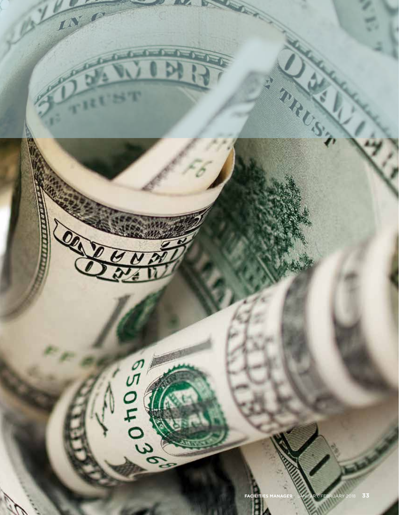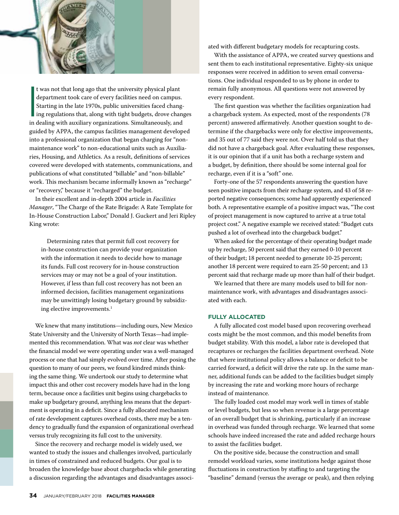

**I** t was not that long ago that the university physical plant department took care of every facilities need on campus. Starting in the late 1970s, public universities faced changing regulations that, along with tight budgets, drove changes in dealing with auxiliary organizations. Simultaneously, and guided by APPA, the campus facilities management developed into a professional organization that began charging for "nonmaintenance work" to non-educational units such as Auxiliaries, Housing, and Athletics. As a result, definitions of services covered were developed with statements, communications, and publications of what constituted "billable" and "non-billable" work. This mechanism became informally known as "recharge" or "recovery," because it "recharged" the budget.

In their excellent and in-depth 2004 article in *Facilities Manager*, "The Charge of the Rate Brigade: A Rate Template for In-House Construction Labor," Donald J. Guckert and Jeri Ripley King wrote:

Determining rates that permit full cost recovery for in-house construction can provide your organization with the information it needs to decide how to manage its funds. Full cost recovery for in-house construction services may or may not be a goal of your institution. However, if less than full cost recovery has not been an informed decision, facilities management organizations may be unwittingly losing budgetary ground by subsidizing elective improvements.<sup>1</sup>

We knew that many institutions—including ours, New Mexico State University and the University of North Texas—had implemented this recommendation. What was *not* clear was whether the financial model we were operating under was a well-managed process or one that had simply evolved over time. After posing the question to many of our peers, we found kindred minds thinking the same thing. We undertook our study to determine what impact this and other cost recovery models have had in the long term, because once a facilities unit begins using chargebacks to make up budgetary ground, anything less means that the department is operating in a deficit. Since a fully allocated mechanism of rate development captures overhead costs, there may be a tendency to gradually fund the expansion of organizational overhead versus truly recognizing its full cost to the university.

Since the recovery and recharge model is widely used, we wanted to study the issues and challenges involved, particularly in times of constrained and reduced budgets. Our goal is to broaden the knowledge base about chargebacks while generating a discussion regarding the advantages and disadvantages associated with different budgetary models for recapturing costs.

With the assistance of APPA, we created survey questions and sent them to each institutional representative. Eighty-six unique responses were received in addition to seven email conversations. One individual responded to us by phone in order to remain fully anonymous. All questions were not answered by every respondent.

The first question was whether the facilities organization had a chargeback system. As expected, most of the respondents (78 percent) answered affirmatively. Another question sought to determine if the chargebacks were only for elective improvements, and 35 out of 77 said they were not. Over half told us that they did not have a chargeback goal. After evaluating these responses, it is our opinion that if a unit has both a recharge system and a budget, by definition, there should be some internal goal for recharge, even if it is a "soft" one.

Forty-one of the 57 respondents answering the question have seen positive impacts from their recharge system, and 43 of 58 reported negative consequences; some had apparently experienced both. A representative example of a positive impact was, "The cost of project management is now captured to arrive at a true total project cost." A negative example we received stated: "Budget cuts pushed a lot of overhead into the chargeback budget."

When asked for the percentage of their operating budget made up by recharge, 50 percent said that they earned 0-10 percent of their budget; 18 percent needed to generate 10-25 percent; another 18 percent were required to earn 25-50 percent; and 13 percent said that recharge made up more than half of their budget.

We learned that there are many models used to bill for nonmaintenance work, with advantages and disadvantages associated with each.

### **FULLY ALLOCATED**

A fully allocated cost model based upon recovering overhead costs might be the most common, and this model benefits from budget stability. With this model, a labor rate is developed that recaptures or recharges the facilities department overhead. Note that where institutional policy allows a balance or deficit to be carried forward, a deficit will drive the rate up. In the same manner, additional funds can be added to the facilities budget simply by increasing the rate and working more hours of recharge instead of maintenance.

The fully loaded cost model may work well in times of stable or level budgets, but less so when revenue is a large percentage of an overall budget that is shrinking, particularly if an increase in overhead was funded through recharge. We learned that some schools have indeed increased the rate and added recharge hours to assist the facilities budget.

On the positive side, because the construction and small remodel workload varies, some institutions hedge against those fluctuations in construction by staffing to and targeting the "baseline" demand (versus the average or peak), and then relying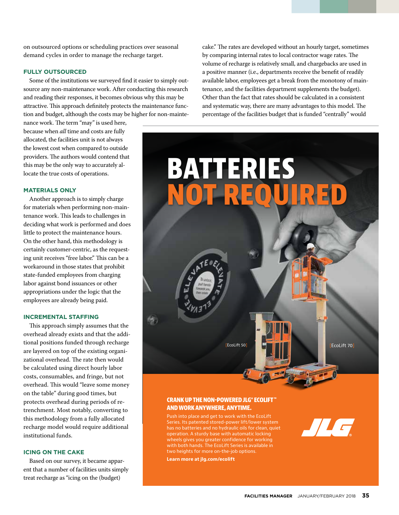on outsourced options or scheduling practices over seasonal demand cycles in order to manage the recharge target.

# **FULLY OUTSOURCED**

Some of the institutions we surveyed find it easier to simply outsource any non-maintenance work. After conducting this research and reading their responses, it becomes obvious why this may be attractive. This approach definitely protects the maintenance function and budget, although the costs may be higher for non-mainte-

nance work. The term "may" is used here, because when *all* time and costs are fully allocated, the facilities unit is not always the lowest cost when compared to outside providers. The authors would contend that this may be the only way to accurately allocate the true costs of operations.

#### **MATERIALS ONLY**

Another approach is to simply charge for materials when performing non-maintenance work. This leads to challenges in deciding what work is performed and does little to protect the maintenance hours. On the other hand, this methodology is certainly customer-centric, as the requesting unit receives "free labor." This can be a workaround in those states that prohibit state-funded employees from charging labor against bond issuances or other appropriations under the logic that the employees are already being paid.

#### **INCREMENTAL STAFFING**

This approach simply assumes that the overhead already exists and that the additional positions funded through recharge are layered on top of the existing organizational overhead. The rate then would be calculated using direct hourly labor costs, consumables, and fringe, but not overhead. This would "leave some money on the table" during good times, but protects overhead during periods of retrenchment. Most notably, converting to this methodology from a fully allocated recharge model would require additional institutional funds.

# **ICING ON THE CAKE**

Based on our survey, it became apparent that a number of facilities units simply treat recharge as "icing on the (budget)

cake." The rates are developed without an hourly target, sometimes by comparing internal rates to local contractor wage rates. The volume of recharge is relatively small, and chargebacks are used in a positive manner (i.e., departments receive the benefit of readily available labor, employees get a break from the monotony of maintenance, and the facilities department supplements the budget). Other than the fact that rates should be calculated in a consistent and systematic way, there are many advantages to this model. The percentage of the facilities budget that is funded "centrally" would